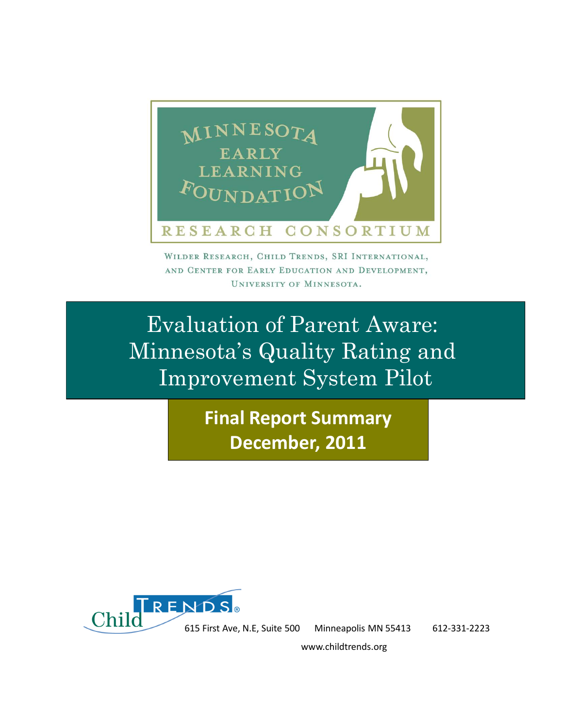

WILDER RESEARCH, CHILD TRENDS, SRI INTERNATIONAL, AND CENTER FOR EARLY EDUCATION AND DEVELOPMENT, UNIVERSITY OF MINNESOTA.

Evaluation of Parent Aware: Minnesota's Quality Rating and Improvement System Pilot

> **Final Report Summary December, 2011**



615 First Ave, N.E, Suite 500 Minneapolis MN 55413 612-331-2223

www.childtrends.org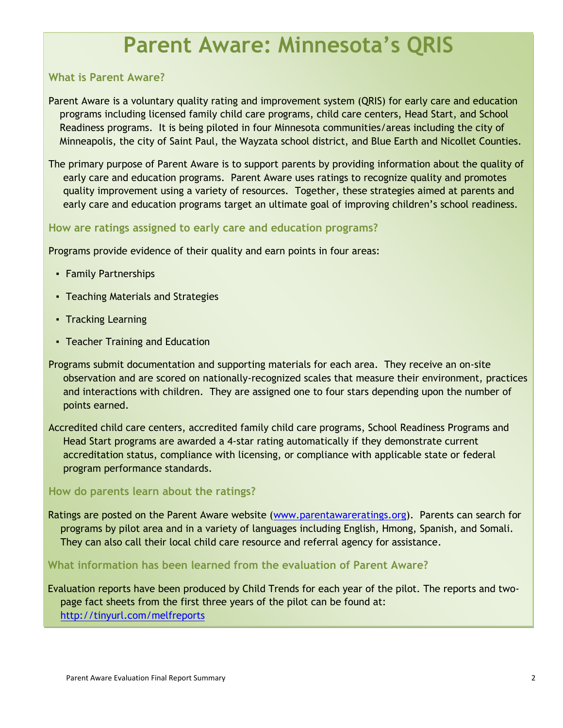# **Parent Aware: Minnesota's QRIS**

### **What is Parent Aware?**

Parent Aware is a voluntary quality rating and improvement system (QRIS) for early care and education programs including licensed family child care programs, child care centers, Head Start, and School Readiness programs. It is being piloted in four Minnesota communities/areas including the city of Minneapolis, the city of Saint Paul, the Wayzata school district, and Blue Earth and Nicollet Counties.

The primary purpose of Parent Aware is to support parents by providing information about the quality of early care and education programs. Parent Aware uses ratings to recognize quality and promotes quality improvement using a variety of resources. Together, these strategies aimed at parents and early care and education programs target an ultimate goal of improving children's school readiness.

### **How are ratings assigned to early care and education programs?**

Programs provide evidence of their quality and earn points in four areas:

- Family Partnerships
- Teaching Materials and Strategies
- Tracking Learning
- Teacher Training and Education
- Programs submit documentation and supporting materials for each area. They receive an on-site observation and are scored on nationally-recognized scales that measure their environment, practices and interactions with children. They are assigned one to four stars depending upon the number of points earned.

Accredited child care centers, accredited family child care programs, School Readiness Programs and Head Start programs are awarded a 4-star rating automatically if they demonstrate current accreditation status, compliance with licensing, or compliance with applicable state or federal program performance standards.

#### **How do parents learn about the ratings?**

Ratings are posted on the Parent Aware website [\(www.parentawareratings.org\)](http://www.parentawareratings.org/). Parents can search for programs by pilot area and in a variety of languages including English, Hmong, Spanish, and Somali. They can also call their local child care resource and referral agency for assistance.

**What information has been learned from the evaluation of Parent Aware?**

Evaluation reports have been produced by Child Trends for each year of the pilot. The reports and twopage fact sheets from the first three years of the pilot can be found at: <http://tinyurl.com/melfreports>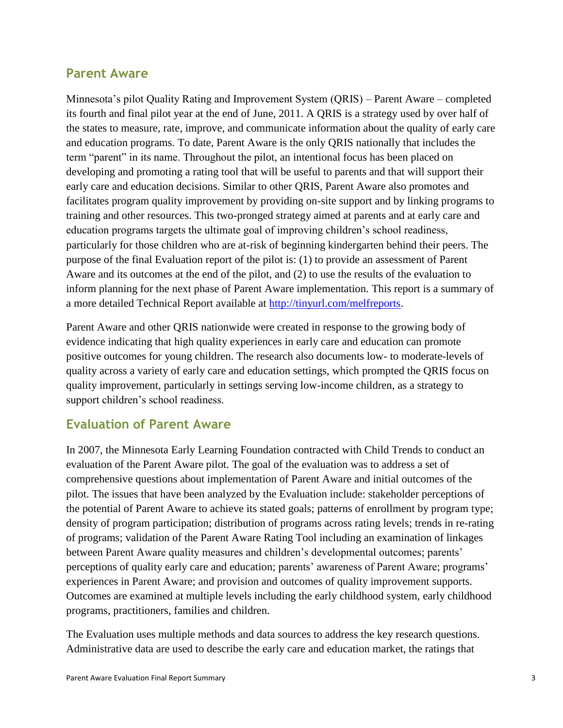# **Parent Aware**

Minnesota's pilot Quality Rating and Improvement System (QRIS) – Parent Aware – completed its fourth and final pilot year at the end of June, 2011. A QRIS is a strategy used by over half of the states to measure, rate, improve, and communicate information about the quality of early care and education programs. To date, Parent Aware is the only QRIS nationally that includes the term "parent" in its name. Throughout the pilot, an intentional focus has been placed on developing and promoting a rating tool that will be useful to parents and that will support their early care and education decisions. Similar to other QRIS, Parent Aware also promotes and facilitates program quality improvement by providing on-site support and by linking programs to training and other resources. This two-pronged strategy aimed at parents and at early care and education programs targets the ultimate goal of improving children's school readiness, particularly for those children who are at-risk of beginning kindergarten behind their peers. The purpose of the final Evaluation report of the pilot is: (1) to provide an assessment of Parent Aware and its outcomes at the end of the pilot, and (2) to use the results of the evaluation to inform planning for the next phase of Parent Aware implementation. This report is a summary of a more detailed Technical Report available at [http://tinyurl.com/melfreports.](http://tinyurl.com/melfreports)

Parent Aware and other QRIS nationwide were created in response to the growing body of evidence indicating that high quality experiences in early care and education can promote positive outcomes for young children. The research also documents low- to moderate-levels of quality across a variety of early care and education settings, which prompted the QRIS focus on quality improvement, particularly in settings serving low-income children, as a strategy to support children's school readiness.

# **Evaluation of Parent Aware**

In 2007, the Minnesota Early Learning Foundation contracted with Child Trends to conduct an evaluation of the Parent Aware pilot. The goal of the evaluation was to address a set of comprehensive questions about implementation of Parent Aware and initial outcomes of the pilot. The issues that have been analyzed by the Evaluation include: stakeholder perceptions of the potential of Parent Aware to achieve its stated goals; patterns of enrollment by program type; density of program participation; distribution of programs across rating levels; trends in re-rating of programs; validation of the Parent Aware Rating Tool including an examination of linkages between Parent Aware quality measures and children's developmental outcomes; parents' perceptions of quality early care and education; parents' awareness of Parent Aware; programs' experiences in Parent Aware; and provision and outcomes of quality improvement supports. Outcomes are examined at multiple levels including the early childhood system, early childhood programs, practitioners, families and children.

The Evaluation uses multiple methods and data sources to address the key research questions. Administrative data are used to describe the early care and education market, the ratings that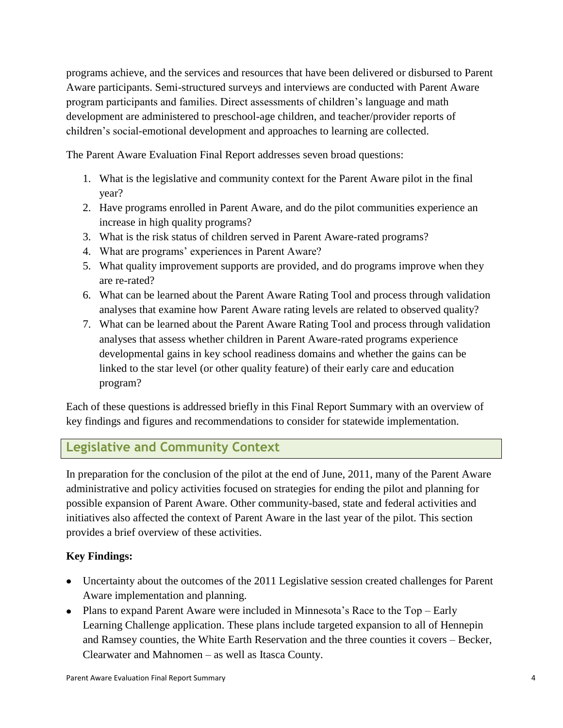programs achieve, and the services and resources that have been delivered or disbursed to Parent Aware participants. Semi-structured surveys and interviews are conducted with Parent Aware program participants and families. Direct assessments of children's language and math development are administered to preschool-age children, and teacher/provider reports of children's social-emotional development and approaches to learning are collected.

The Parent Aware Evaluation Final Report addresses seven broad questions:

- 1. What is the legislative and community context for the Parent Aware pilot in the final year?
- 2. Have programs enrolled in Parent Aware, and do the pilot communities experience an increase in high quality programs?
- 3. What is the risk status of children served in Parent Aware-rated programs?
- 4. What are programs' experiences in Parent Aware?
- 5. What quality improvement supports are provided, and do programs improve when they are re-rated?
- 6. What can be learned about the Parent Aware Rating Tool and process through validation analyses that examine how Parent Aware rating levels are related to observed quality?
- 7. What can be learned about the Parent Aware Rating Tool and process through validation analyses that assess whether children in Parent Aware-rated programs experience developmental gains in key school readiness domains and whether the gains can be linked to the star level (or other quality feature) of their early care and education program?

Each of these questions is addressed briefly in this Final Report Summary with an overview of key findings and figures and recommendations to consider for statewide implementation.

**Legislative and Community Context**

In preparation for the conclusion of the pilot at the end of June, 2011, many of the Parent Aware administrative and policy activities focused on strategies for ending the pilot and planning for possible expansion of Parent Aware. Other community-based, state and federal activities and initiatives also affected the context of Parent Aware in the last year of the pilot. This section provides a brief overview of these activities.

### **Key Findings:**

- Uncertainty about the outcomes of the 2011 Legislative session created challenges for Parent Aware implementation and planning.
- Plans to expand Parent Aware were included in Minnesota's Race to the Top Early Learning Challenge application. These plans include targeted expansion to all of Hennepin and Ramsey counties, the White Earth Reservation and the three counties it covers – Becker, Clearwater and Mahnomen – as well as Itasca County.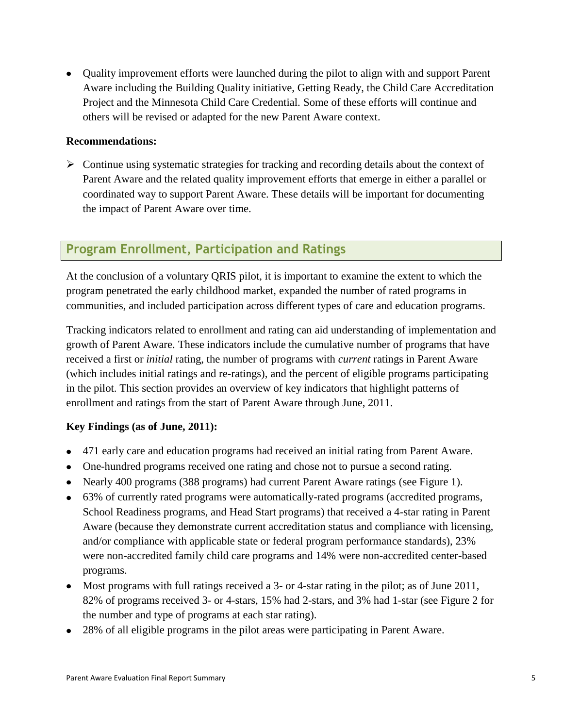Quality improvement efforts were launched during the pilot to align with and support Parent Aware including the Building Quality initiative, Getting Ready, the Child Care Accreditation Project and the Minnesota Child Care Credential. Some of these efforts will continue and others will be revised or adapted for the new Parent Aware context.

#### **Recommendations:**

 $\triangleright$  Continue using systematic strategies for tracking and recording details about the context of Parent Aware and the related quality improvement efforts that emerge in either a parallel or coordinated way to support Parent Aware. These details will be important for documenting the impact of Parent Aware over time.

# **Program Enrollment, Participation and Ratings**

At the conclusion of a voluntary QRIS pilot, it is important to examine the extent to which the program penetrated the early childhood market, expanded the number of rated programs in communities, and included participation across different types of care and education programs.

Tracking indicators related to enrollment and rating can aid understanding of implementation and growth of Parent Aware. These indicators include the cumulative number of programs that have received a first or *initial* rating, the number of programs with *current* ratings in Parent Aware (which includes initial ratings and re-ratings), and the percent of eligible programs participating in the pilot. This section provides an overview of key indicators that highlight patterns of enrollment and ratings from the start of Parent Aware through June, 2011.

### **Key Findings (as of June, 2011):**

- 471 early care and education programs had received an initial rating from Parent Aware.
- One-hundred programs received one rating and chose not to pursue a second rating.
- Nearly 400 programs (388 programs) had current Parent Aware ratings (see Figure 1).
- 63% of currently rated programs were automatically-rated programs (accredited programs, School Readiness programs, and Head Start programs) that received a 4-star rating in Parent Aware (because they demonstrate current accreditation status and compliance with licensing, and/or compliance with applicable state or federal program performance standards), 23% were non-accredited family child care programs and 14% were non-accredited center-based programs.
- Most programs with full ratings received a 3- or 4-star rating in the pilot; as of June 2011, 82% of programs received 3- or 4-stars, 15% had 2-stars, and 3% had 1-star (see Figure 2 for the number and type of programs at each star rating).
- 28% of all eligible programs in the pilot areas were participating in Parent Aware.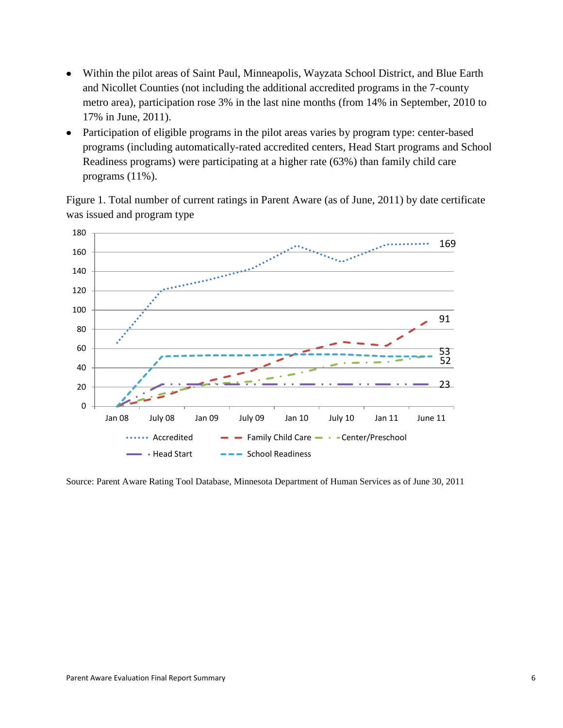- Within the pilot areas of Saint Paul, Minneapolis, Wayzata School District, and Blue Earth  $\bullet$ and Nicollet Counties (not including the additional accredited programs in the 7-county metro area), participation rose 3% in the last nine months (from 14% in September, 2010 to 17% in June, 2011).
- Participation of eligible programs in the pilot areas varies by program type: center-based  $\bullet$ programs (including automatically-rated accredited centers, Head Start programs and School Readiness programs) were participating at a higher rate (63%) than family child care programs (11%).

Figure 1. Total number of current ratings in Parent Aware (as of June, 2011) by date certificate was issued and program type



Source: Parent Aware Rating Tool Database, Minnesota Department of Human Services as of June 30, 2011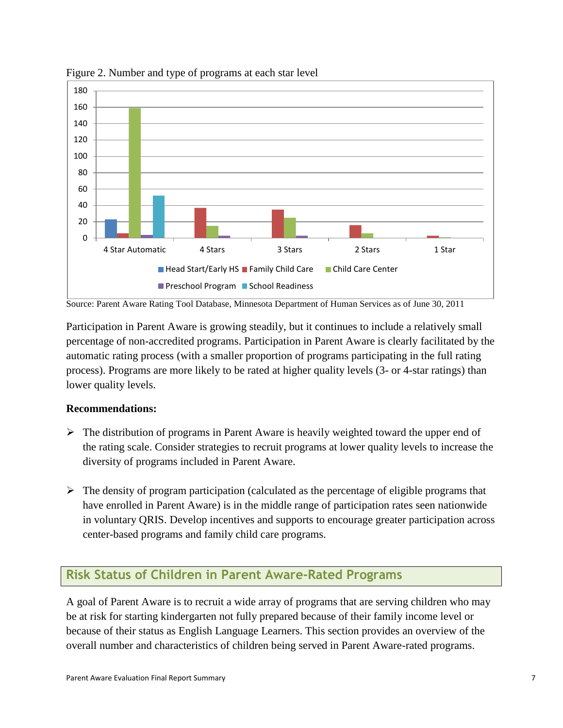

Figure 2. Number and type of programs at each star level

Source: Parent Aware Rating Tool Database, Minnesota Department of Human Services as of June 30, 2011

Participation in Parent Aware is growing steadily, but it continues to include a relatively small percentage of non-accredited programs. Participation in Parent Aware is clearly facilitated by the automatic rating process (with a smaller proportion of programs participating in the full rating process). Programs are more likely to be rated at higher quality levels (3- or 4-star ratings) than lower quality levels.

#### **Recommendations:**

- $\triangleright$  The distribution of programs in Parent Aware is heavily weighted toward the upper end of the rating scale. Consider strategies to recruit programs at lower quality levels to increase the diversity of programs included in Parent Aware.
- $\triangleright$  The density of program participation (calculated as the percentage of eligible programs that have enrolled in Parent Aware) is in the middle range of participation rates seen nationwide in voluntary QRIS. Develop incentives and supports to encourage greater participation across center-based programs and family child care programs.

# **Risk Status of Children in Parent Aware-Rated Programs**

A goal of Parent Aware is to recruit a wide array of programs that are serving children who may be at risk for starting kindergarten not fully prepared because of their family income level or because of their status as English Language Learners. This section provides an overview of the overall number and characteristics of children being served in Parent Aware-rated programs.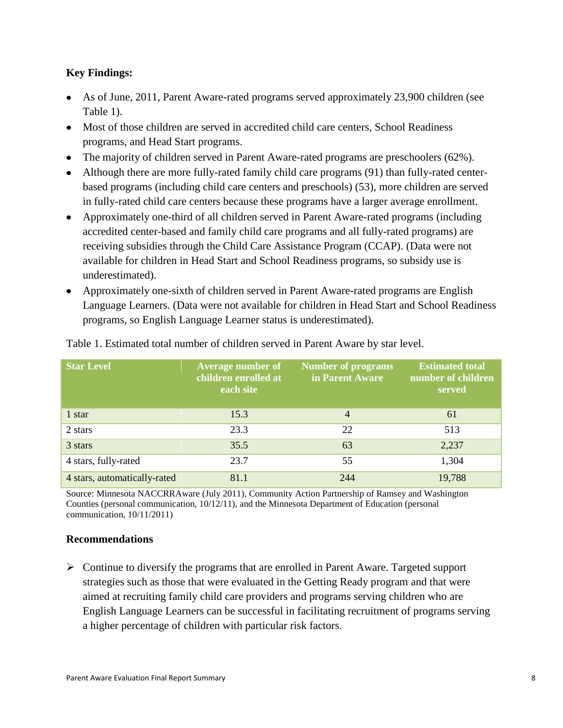### **Key Findings:**

- As of June, 2011, Parent Aware-rated programs served approximately 23,900 children (see Table 1).
- Most of those children are served in accredited child care centers, School Readiness programs, and Head Start programs.
- The majority of children served in Parent Aware-rated programs are preschoolers (62%).
- Although there are more fully-rated family child care programs (91) than fully-rated centerbased programs (including child care centers and preschools) (53), more children are served in fully-rated child care centers because these programs have a larger average enrollment.
- Approximately one-third of all children served in Parent Aware-rated programs (including accredited center-based and family child care programs and all fully-rated programs) are receiving subsidies through the Child Care Assistance Program (CCAP). (Data were not available for children in Head Start and School Readiness programs, so subsidy use is underestimated).
- Approximately one-sixth of children served in Parent Aware-rated programs are English Language Learners. (Data were not available for children in Head Start and School Readiness programs, so English Language Learner status is underestimated).

| <b>Star Level</b>            | Average number of<br>children enrolled at<br>each site | <b>Number of programs</b><br>in Parent Aware | <b>Estimated total</b><br>number of children<br>served |  |  |
|------------------------------|--------------------------------------------------------|----------------------------------------------|--------------------------------------------------------|--|--|
| 1 star                       | 15.3                                                   | $\overline{4}$                               | 61                                                     |  |  |
| 2 stars                      | 23.3                                                   | 22                                           | 513                                                    |  |  |
| 3 stars                      | 35.5                                                   | 63                                           | 2,237                                                  |  |  |
| 4 stars, fully-rated         | 23.7                                                   | 55                                           | 1,304                                                  |  |  |
| 4 stars, automatically-rated | 81.1                                                   | 244                                          | 19,788                                                 |  |  |

Table 1. Estimated total number of children served in Parent Aware by star level.

Source: Minnesota NACCRRAware (July 2011), Community Action Partnership of Ramsey and Washington Counties (personal communication, 10/12/11), and the Minnesota Department of Education (personal communication, 10/11/2011)

### **Recommendations**

 $\triangleright$  Continue to diversify the programs that are enrolled in Parent Aware. Targeted support strategies such as those that were evaluated in the Getting Ready program and that were aimed at recruiting family child care providers and programs serving children who are English Language Learners can be successful in facilitating recruitment of programs serving a higher percentage of children with particular risk factors.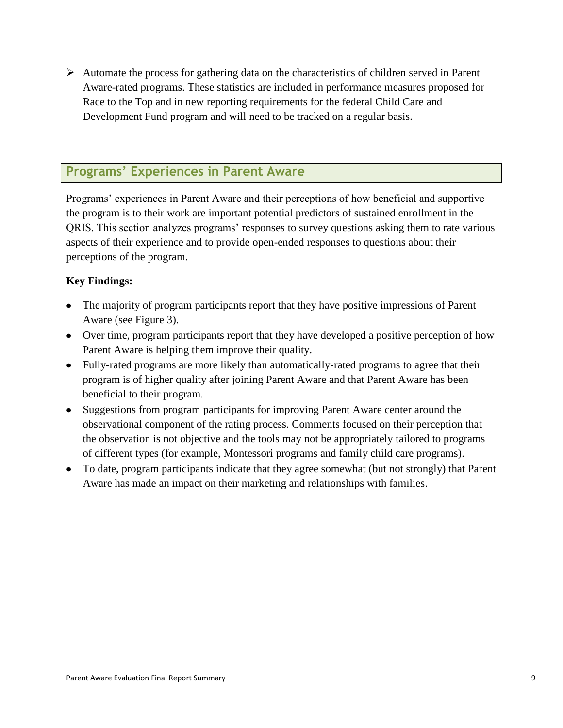$\triangleright$  Automate the process for gathering data on the characteristics of children served in Parent Aware-rated programs. These statistics are included in performance measures proposed for Race to the Top and in new reporting requirements for the federal Child Care and Development Fund program and will need to be tracked on a regular basis.

# **Programs' Experiences in Parent Aware**

Programs' experiences in Parent Aware and their perceptions of how beneficial and supportive the program is to their work are important potential predictors of sustained enrollment in the QRIS. This section analyzes programs' responses to survey questions asking them to rate various aspects of their experience and to provide open-ended responses to questions about their perceptions of the program.

### **Key Findings:**

- The majority of program participants report that they have positive impressions of Parent Aware (see Figure 3).
- Over time, program participants report that they have developed a positive perception of how Parent Aware is helping them improve their quality.
- Fully-rated programs are more likely than automatically-rated programs to agree that their program is of higher quality after joining Parent Aware and that Parent Aware has been beneficial to their program.
- Suggestions from program participants for improving Parent Aware center around the observational component of the rating process. Comments focused on their perception that the observation is not objective and the tools may not be appropriately tailored to programs of different types (for example, Montessori programs and family child care programs).
- To date, program participants indicate that they agree somewhat (but not strongly) that Parent Aware has made an impact on their marketing and relationships with families.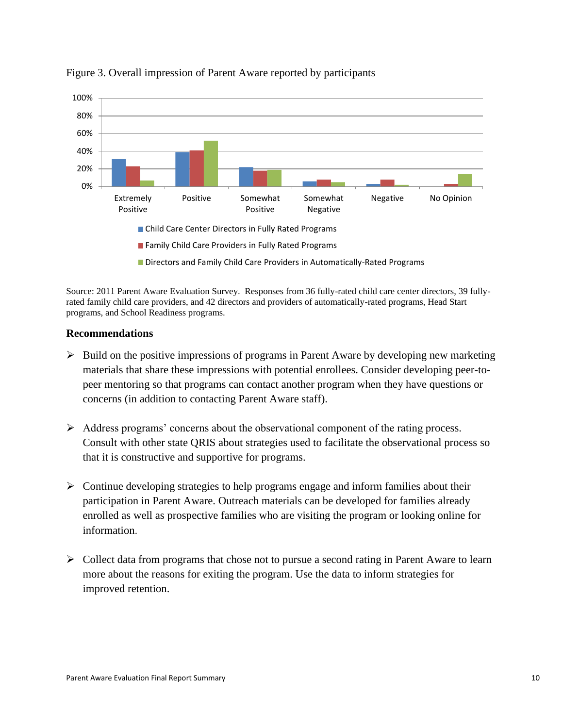

# Figure 3. Overall impression of Parent Aware reported by participants

Source: 2011 Parent Aware Evaluation Survey. Responses from 36 fully-rated child care center directors, 39 fullyrated family child care providers, and 42 directors and providers of automatically-rated programs, Head Start programs, and School Readiness programs.

#### **Recommendations**

- $\triangleright$  Build on the positive impressions of programs in Parent Aware by developing new marketing materials that share these impressions with potential enrollees. Consider developing peer-topeer mentoring so that programs can contact another program when they have questions or concerns (in addition to contacting Parent Aware staff).
- Address programs' concerns about the observational component of the rating process. Consult with other state QRIS about strategies used to facilitate the observational process so that it is constructive and supportive for programs.
- $\triangleright$  Continue developing strategies to help programs engage and inform families about their participation in Parent Aware. Outreach materials can be developed for families already enrolled as well as prospective families who are visiting the program or looking online for information.
- $\triangleright$  Collect data from programs that chose not to pursue a second rating in Parent Aware to learn more about the reasons for exiting the program. Use the data to inform strategies for improved retention.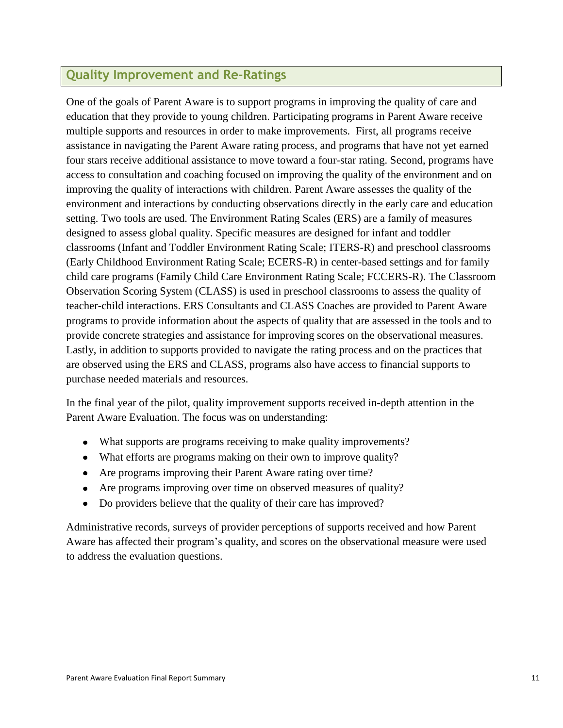# **Quality Improvement and Re-Ratings**

One of the goals of Parent Aware is to support programs in improving the quality of care and education that they provide to young children. Participating programs in Parent Aware receive multiple supports and resources in order to make improvements. First, all programs receive assistance in navigating the Parent Aware rating process, and programs that have not yet earned four stars receive additional assistance to move toward a four-star rating. Second, programs have access to consultation and coaching focused on improving the quality of the environment and on improving the quality of interactions with children. Parent Aware assesses the quality of the environment and interactions by conducting observations directly in the early care and education setting. Two tools are used. The Environment Rating Scales (ERS) are a family of measures designed to assess global quality. Specific measures are designed for infant and toddler classrooms (Infant and Toddler Environment Rating Scale; ITERS-R) and preschool classrooms (Early Childhood Environment Rating Scale; ECERS-R) in center-based settings and for family child care programs (Family Child Care Environment Rating Scale; FCCERS-R). The Classroom Observation Scoring System (CLASS) is used in preschool classrooms to assess the quality of teacher-child interactions. ERS Consultants and CLASS Coaches are provided to Parent Aware programs to provide information about the aspects of quality that are assessed in the tools and to provide concrete strategies and assistance for improving scores on the observational measures. Lastly, in addition to supports provided to navigate the rating process and on the practices that are observed using the ERS and CLASS, programs also have access to financial supports to purchase needed materials and resources.

In the final year of the pilot, quality improvement supports received in-depth attention in the Parent Aware Evaluation. The focus was on understanding:

- What supports are programs receiving to make quality improvements?
- What efforts are programs making on their own to improve quality?
- Are programs improving their Parent Aware rating over time?
- Are programs improving over time on observed measures of quality?
- Do providers believe that the quality of their care has improved?

Administrative records, surveys of provider perceptions of supports received and how Parent Aware has affected their program's quality, and scores on the observational measure were used to address the evaluation questions.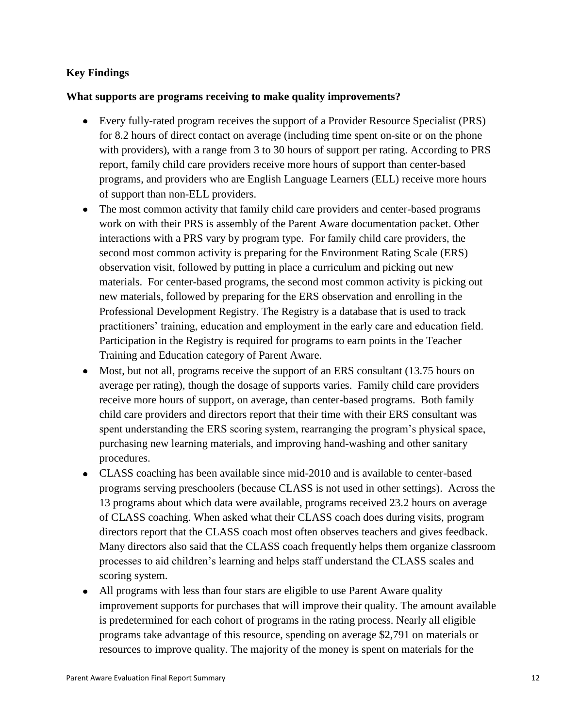### **Key Findings**

### **What supports are programs receiving to make quality improvements?**

- Every fully-rated program receives the support of a Provider Resource Specialist (PRS) for 8.2 hours of direct contact on average (including time spent on-site or on the phone with providers), with a range from 3 to 30 hours of support per rating. According to PRS report, family child care providers receive more hours of support than center-based programs, and providers who are English Language Learners (ELL) receive more hours of support than non-ELL providers.
- The most common activity that family child care providers and center-based programs work on with their PRS is assembly of the Parent Aware documentation packet. Other interactions with a PRS vary by program type. For family child care providers, the second most common activity is preparing for the Environment Rating Scale (ERS) observation visit, followed by putting in place a curriculum and picking out new materials. For center-based programs, the second most common activity is picking out new materials, followed by preparing for the ERS observation and enrolling in the Professional Development Registry. The Registry is a database that is used to track practitioners' training, education and employment in the early care and education field. Participation in the Registry is required for programs to earn points in the Teacher Training and Education category of Parent Aware.
- Most, but not all, programs receive the support of an ERS consultant (13.75 hours on average per rating), though the dosage of supports varies. Family child care providers receive more hours of support, on average, than center-based programs. Both family child care providers and directors report that their time with their ERS consultant was spent understanding the ERS scoring system, rearranging the program's physical space, purchasing new learning materials, and improving hand-washing and other sanitary procedures.
- CLASS coaching has been available since mid-2010 and is available to center-based programs serving preschoolers (because CLASS is not used in other settings). Across the 13 programs about which data were available, programs received 23.2 hours on average of CLASS coaching. When asked what their CLASS coach does during visits, program directors report that the CLASS coach most often observes teachers and gives feedback. Many directors also said that the CLASS coach frequently helps them organize classroom processes to aid children's learning and helps staff understand the CLASS scales and scoring system.
- All programs with less than four stars are eligible to use Parent Aware quality improvement supports for purchases that will improve their quality. The amount available is predetermined for each cohort of programs in the rating process. Nearly all eligible programs take advantage of this resource, spending on average \$2,791 on materials or resources to improve quality. The majority of the money is spent on materials for the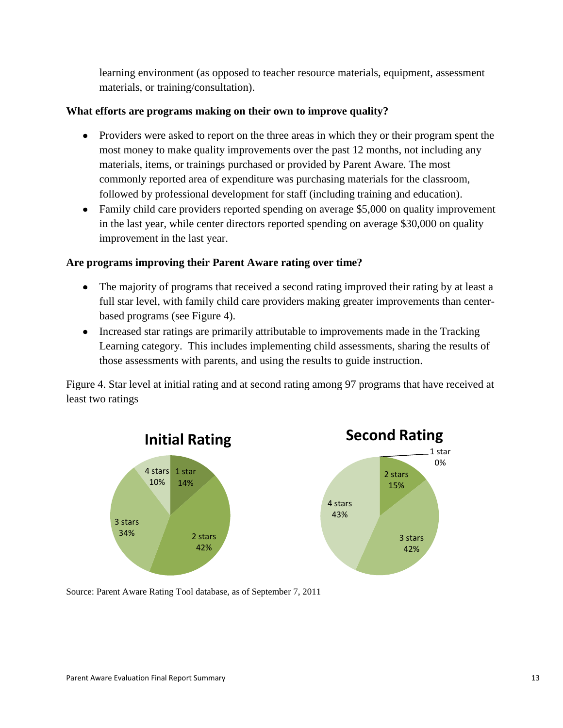learning environment (as opposed to teacher resource materials, equipment, assessment materials, or training/consultation).

### **What efforts are programs making on their own to improve quality?**

- Providers were asked to report on the three areas in which they or their program spent the most money to make quality improvements over the past 12 months, not including any materials, items, or trainings purchased or provided by Parent Aware. The most commonly reported area of expenditure was purchasing materials for the classroom, followed by professional development for staff (including training and education).
- Family child care providers reported spending on average \$5,000 on quality improvement in the last year, while center directors reported spending on average \$30,000 on quality improvement in the last year.

# **Are programs improving their Parent Aware rating over time?**

- The majority of programs that received a second rating improved their rating by at least a full star level, with family child care providers making greater improvements than centerbased programs (see Figure 4).
- Increased star ratings are primarily attributable to improvements made in the Tracking Learning category. This includes implementing child assessments, sharing the results of those assessments with parents, and using the results to guide instruction.

Figure 4. Star level at initial rating and at second rating among 97 programs that have received at least two ratings



Source: Parent Aware Rating Tool database, as of September 7, 2011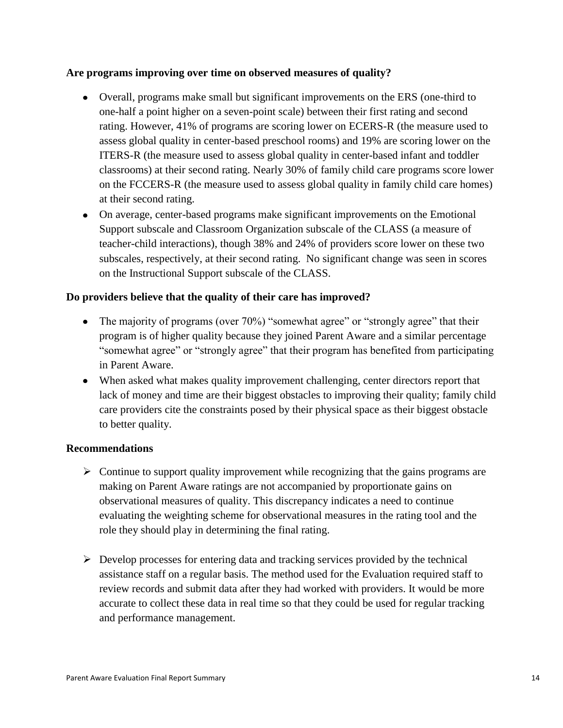#### **Are programs improving over time on observed measures of quality?**

- Overall, programs make small but significant improvements on the ERS (one-third to one-half a point higher on a seven-point scale) between their first rating and second rating. However, 41% of programs are scoring lower on ECERS-R (the measure used to assess global quality in center-based preschool rooms) and 19% are scoring lower on the ITERS-R (the measure used to assess global quality in center-based infant and toddler classrooms) at their second rating. Nearly 30% of family child care programs score lower on the FCCERS-R (the measure used to assess global quality in family child care homes) at their second rating.
- On average, center-based programs make significant improvements on the Emotional Support subscale and Classroom Organization subscale of the CLASS (a measure of teacher-child interactions), though 38% and 24% of providers score lower on these two subscales, respectively, at their second rating. No significant change was seen in scores on the Instructional Support subscale of the CLASS.

### **Do providers believe that the quality of their care has improved?**

- The majority of programs (over  $70\%$ ) "somewhat agree" or "strongly agree" that their program is of higher quality because they joined Parent Aware and a similar percentage "somewhat agree" or "strongly agree" that their program has benefited from participating in Parent Aware.
- When asked what makes quality improvement challenging, center directors report that lack of money and time are their biggest obstacles to improving their quality; family child care providers cite the constraints posed by their physical space as their biggest obstacle to better quality.

#### **Recommendations**

- $\triangleright$  Continue to support quality improvement while recognizing that the gains programs are making on Parent Aware ratings are not accompanied by proportionate gains on observational measures of quality. This discrepancy indicates a need to continue evaluating the weighting scheme for observational measures in the rating tool and the role they should play in determining the final rating.
- $\triangleright$  Develop processes for entering data and tracking services provided by the technical assistance staff on a regular basis. The method used for the Evaluation required staff to review records and submit data after they had worked with providers. It would be more accurate to collect these data in real time so that they could be used for regular tracking and performance management.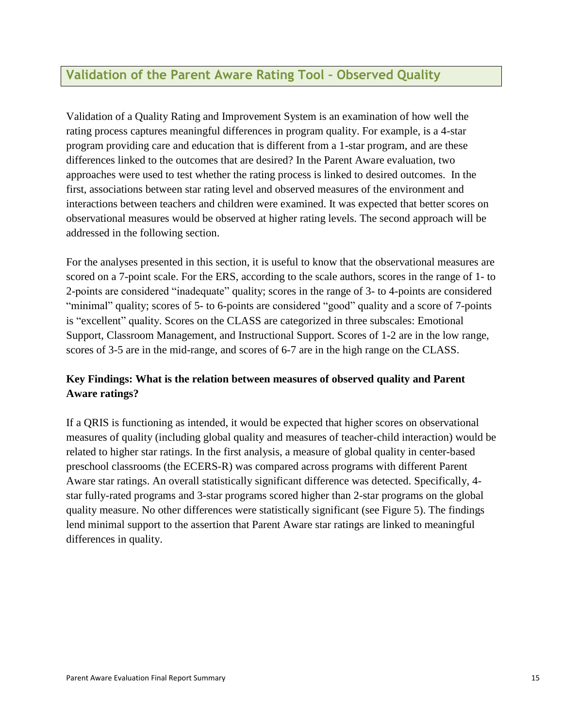# **Validation of the Parent Aware Rating Tool – Observed Quality**

Validation of a Quality Rating and Improvement System is an examination of how well the rating process captures meaningful differences in program quality. For example, is a 4-star program providing care and education that is different from a 1-star program, and are these differences linked to the outcomes that are desired? In the Parent Aware evaluation, two approaches were used to test whether the rating process is linked to desired outcomes. In the first, associations between star rating level and observed measures of the environment and interactions between teachers and children were examined. It was expected that better scores on observational measures would be observed at higher rating levels. The second approach will be addressed in the following section.

For the analyses presented in this section, it is useful to know that the observational measures are scored on a 7-point scale. For the ERS, according to the scale authors, scores in the range of 1- to 2-points are considered "inadequate" quality; scores in the range of 3- to 4-points are considered "minimal" quality; scores of 5- to 6-points are considered "good" quality and a score of 7-points is "excellent" quality. Scores on the CLASS are categorized in three subscales: Emotional Support, Classroom Management, and Instructional Support. Scores of 1-2 are in the low range, scores of 3-5 are in the mid-range, and scores of 6-7 are in the high range on the CLASS.

# **Key Findings: What is the relation between measures of observed quality and Parent Aware ratings?**

If a QRIS is functioning as intended, it would be expected that higher scores on observational measures of quality (including global quality and measures of teacher-child interaction) would be related to higher star ratings. In the first analysis, a measure of global quality in center-based preschool classrooms (the ECERS-R) was compared across programs with different Parent Aware star ratings. An overall statistically significant difference was detected. Specifically, 4 star fully-rated programs and 3-star programs scored higher than 2-star programs on the global quality measure. No other differences were statistically significant (see Figure 5). The findings lend minimal support to the assertion that Parent Aware star ratings are linked to meaningful differences in quality.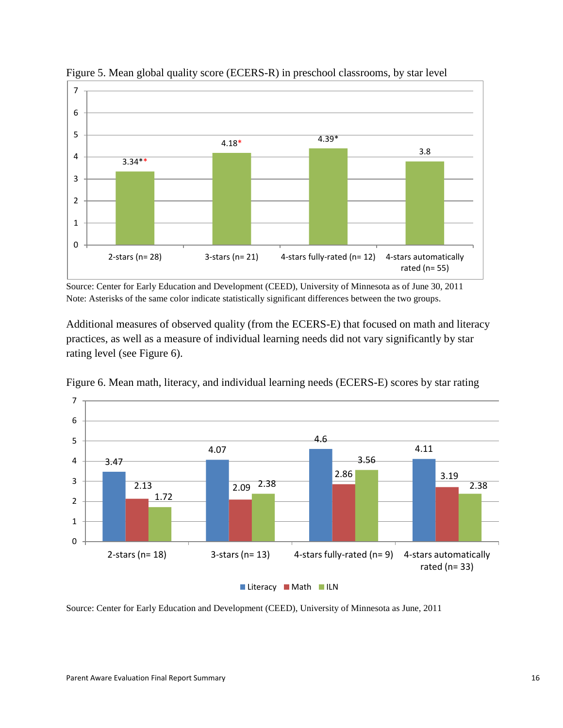

Figure 5. Mean global quality score (ECERS-R) in preschool classrooms, by star level

Source: Center for Early Education and Development (CEED), University of Minnesota as of June 30, 2011 Note: Asterisks of the same color indicate statistically significant differences between the two groups.

Additional measures of observed quality (from the ECERS-E) that focused on math and literacy practices, as well as a measure of individual learning needs did not vary significantly by star rating level (see Figure 6).



Figure 6. Mean math, literacy, and individual learning needs (ECERS-E) scores by star rating

Source: Center for Early Education and Development (CEED), University of Minnesota as June, 2011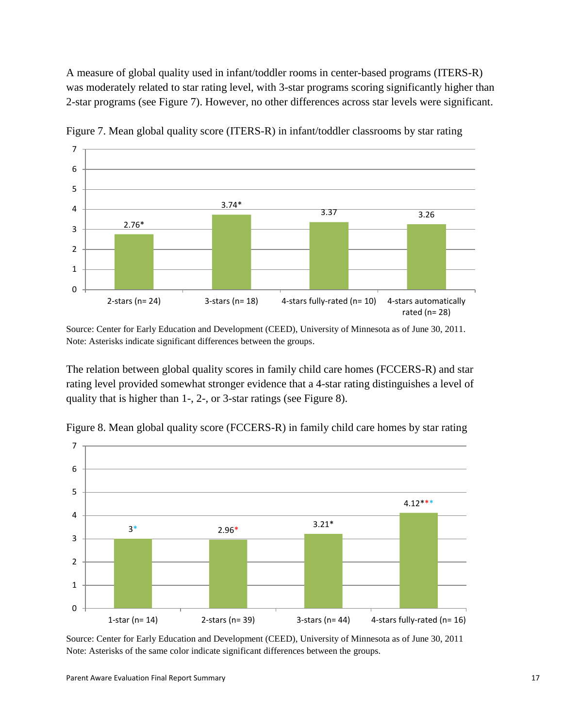A measure of global quality used in infant/toddler rooms in center-based programs (ITERS-R) was moderately related to star rating level, with 3-star programs scoring significantly higher than 2-star programs (see Figure 7). However, no other differences across star levels were significant.



Figure 7. Mean global quality score (ITERS-R) in infant/toddler classrooms by star rating

Source: Center for Early Education and Development (CEED), University of Minnesota as of June 30, 2011. Note: Asterisks indicate significant differences between the groups.

The relation between global quality scores in family child care homes (FCCERS-R) and star rating level provided somewhat stronger evidence that a 4-star rating distinguishes a level of quality that is higher than 1-, 2-, or 3-star ratings (see Figure 8).



Figure 8. Mean global quality score (FCCERS-R) in family child care homes by star rating

Source: Center for Early Education and Development (CEED), University of Minnesota as of June 30, 2011 Note: Asterisks of the same color indicate significant differences between the groups.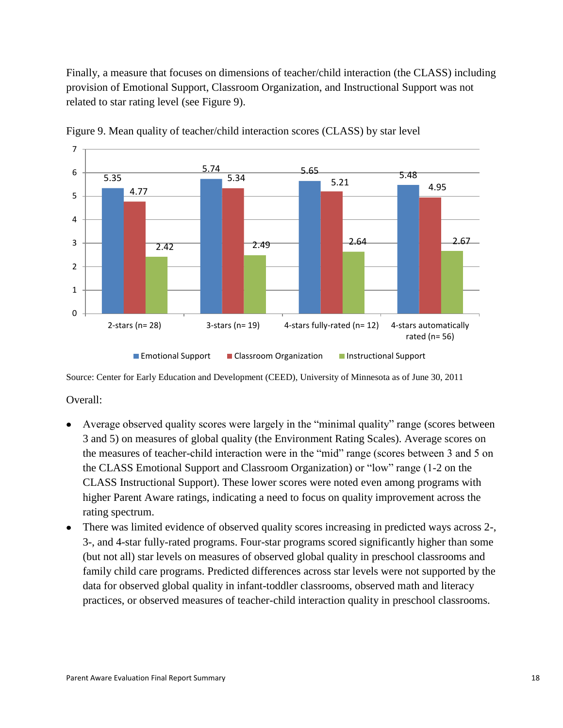Finally, a measure that focuses on dimensions of teacher/child interaction (the CLASS) including provision of Emotional Support, Classroom Organization, and Instructional Support was not related to star rating level (see Figure 9).



Figure 9. Mean quality of teacher/child interaction scores (CLASS) by star level

Source: Center for Early Education and Development (CEED), University of Minnesota as of June 30, 2011

Overall:

- Average observed quality scores were largely in the "minimal quality" range (scores between 3 and 5) on measures of global quality (the Environment Rating Scales). Average scores on the measures of teacher-child interaction were in the "mid" range (scores between 3 and 5 on the CLASS Emotional Support and Classroom Organization) or "low" range (1-2 on the CLASS Instructional Support). These lower scores were noted even among programs with higher Parent Aware ratings, indicating a need to focus on quality improvement across the rating spectrum.
- There was limited evidence of observed quality scores increasing in predicted ways across 2-, 3-, and 4-star fully-rated programs. Four-star programs scored significantly higher than some (but not all) star levels on measures of observed global quality in preschool classrooms and family child care programs. Predicted differences across star levels were not supported by the data for observed global quality in infant-toddler classrooms, observed math and literacy practices, or observed measures of teacher-child interaction quality in preschool classrooms.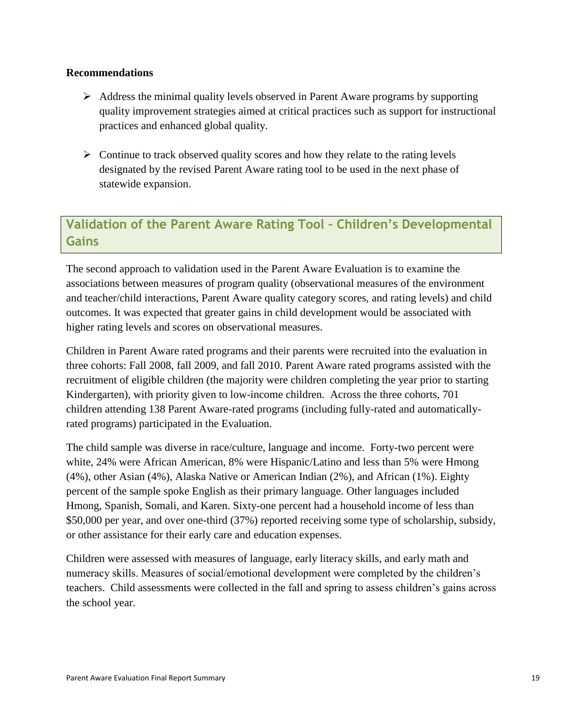#### **Recommendations**

- $\triangleright$  Address the minimal quality levels observed in Parent Aware programs by supporting quality improvement strategies aimed at critical practices such as support for instructional practices and enhanced global quality.
- $\triangleright$  Continue to track observed quality scores and how they relate to the rating levels designated by the revised Parent Aware rating tool to be used in the next phase of statewide expansion.

# **Validation of the Parent Aware Rating Tool – Children's Developmental Gains**

The second approach to validation used in the Parent Aware Evaluation is to examine the associations between measures of program quality (observational measures of the environment and teacher/child interactions, Parent Aware quality category scores, and rating levels) and child outcomes. It was expected that greater gains in child development would be associated with higher rating levels and scores on observational measures.

Children in Parent Aware rated programs and their parents were recruited into the evaluation in three cohorts: Fall 2008, fall 2009, and fall 2010. Parent Aware rated programs assisted with the recruitment of eligible children (the majority were children completing the year prior to starting Kindergarten), with priority given to low-income children. Across the three cohorts, 701 children attending 138 Parent Aware-rated programs (including fully-rated and automaticallyrated programs) participated in the Evaluation.

The child sample was diverse in race/culture, language and income. Forty-two percent were white, 24% were African American, 8% were Hispanic/Latino and less than 5% were Hmong (4%), other Asian (4%), Alaska Native or American Indian (2%), and African (1%). Eighty percent of the sample spoke English as their primary language. Other languages included Hmong, Spanish, Somali, and Karen. Sixty-one percent had a household income of less than \$50,000 per year, and over one-third (37%) reported receiving some type of scholarship, subsidy, or other assistance for their early care and education expenses.

Children were assessed with measures of language, early literacy skills, and early math and numeracy skills. Measures of social/emotional development were completed by the children's teachers. Child assessments were collected in the fall and spring to assess children's gains across the school year.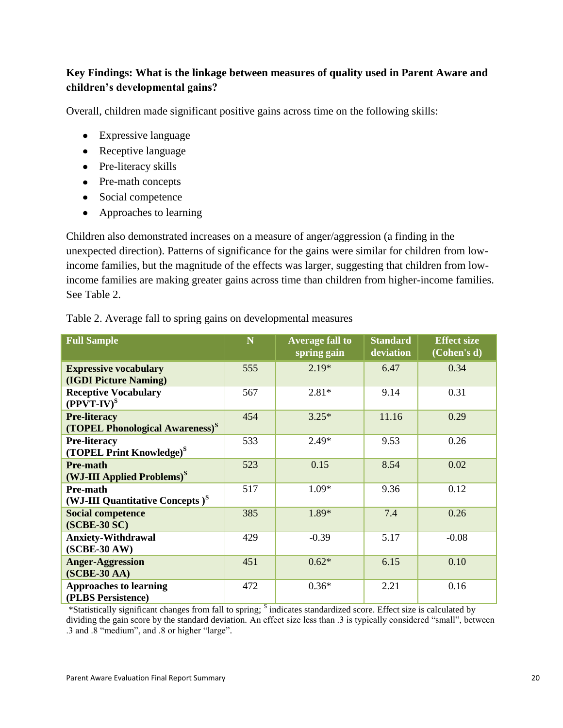# **Key Findings: What is the linkage between measures of quality used in Parent Aware and children's developmental gains?**

Overall, children made significant positive gains across time on the following skills:

- Expressive language
- Receptive language
- Pre-literacy skills
- Pre-math concepts
- Social competence
- Approaches to learning

Children also demonstrated increases on a measure of anger/aggression (a finding in the unexpected direction). Patterns of significance for the gains were similar for children from lowincome families, but the magnitude of the effects was larger, suggesting that children from lowincome families are making greater gains across time than children from higher-income families. See Table 2.

| <b>Full Sample</b>                                                 | N   | <b>Average fall to</b><br>spring gain | <b>Standard</b><br>deviation | <b>Effect size</b><br>(Cohen's d) |
|--------------------------------------------------------------------|-----|---------------------------------------|------------------------------|-----------------------------------|
| <b>Expressive vocabulary</b><br>(IGDI Picture Naming)              | 555 | $2.19*$                               | 6.47                         | 0.34                              |
| <b>Receptive Vocabulary</b><br>$(PPVT-IV)^S$                       | 567 | $2.81*$                               | 9.14                         | 0.31                              |
| <b>Pre-literacy</b><br>(TOPEL Phonological Awareness) <sup>S</sup> | 454 | $3.25*$                               | 11.16                        | 0.29                              |
| <b>Pre-literacy</b><br>(TOPEL Print Knowledge) <sup>S</sup>        | 533 | $2.49*$                               | 9.53                         | 0.26                              |
| Pre-math<br>(WJ-III Applied Problems) <sup>S</sup>                 | 523 | 0.15                                  | 8.54                         | 0.02                              |
| Pre-math<br>(WJ-III Quantitative Concepts) <sup>S</sup>            | 517 | $1.09*$                               | 9.36                         | 0.12                              |
| <b>Social competence</b><br>(SCBE-30 SC)                           | 385 | 1.89*                                 | 7.4                          | 0.26                              |
| <b>Anxiety-Withdrawal</b><br>$(SCBE-30AW)$                         | 429 | $-0.39$                               | 5.17                         | $-0.08$                           |
| <b>Anger-Aggression</b><br>$(SCBE-30AA)$                           | 451 | $0.62*$                               | 6.15                         | 0.10                              |
| <b>Approaches to learning</b><br>(PLBS Persistence)                | 472 | $0.36*$                               | 2.21                         | 0.16                              |

Table 2. Average fall to spring gains on developmental measures

\*Statistically significant changes from fall to spring; <sup>S</sup> indicates standardized score. Effect size is calculated by dividing the gain score by the standard deviation. An effect size less than .3 is typically considered "small", between .3 and .8 "medium", and .8 or higher "large".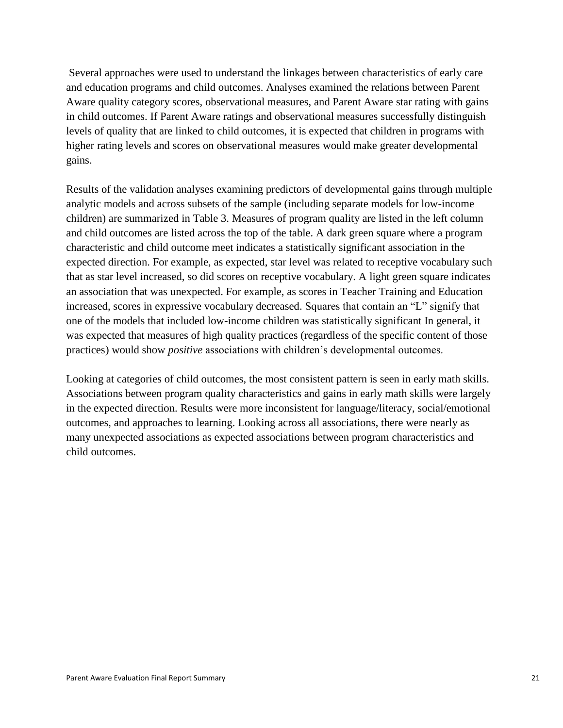Several approaches were used to understand the linkages between characteristics of early care and education programs and child outcomes. Analyses examined the relations between Parent Aware quality category scores, observational measures, and Parent Aware star rating with gains in child outcomes. If Parent Aware ratings and observational measures successfully distinguish levels of quality that are linked to child outcomes, it is expected that children in programs with higher rating levels and scores on observational measures would make greater developmental gains.

Results of the validation analyses examining predictors of developmental gains through multiple analytic models and across subsets of the sample (including separate models for low-income children) are summarized in Table 3. Measures of program quality are listed in the left column and child outcomes are listed across the top of the table. A dark green square where a program characteristic and child outcome meet indicates a statistically significant association in the expected direction. For example, as expected, star level was related to receptive vocabulary such that as star level increased, so did scores on receptive vocabulary. A light green square indicates an association that was unexpected. For example, as scores in Teacher Training and Education increased, scores in expressive vocabulary decreased. Squares that contain an "L" signify that one of the models that included low-income children was statistically significant In general, it was expected that measures of high quality practices (regardless of the specific content of those practices) would show *positive* associations with children's developmental outcomes.

Looking at categories of child outcomes, the most consistent pattern is seen in early math skills. Associations between program quality characteristics and gains in early math skills were largely in the expected direction. Results were more inconsistent for language/literacy, social/emotional outcomes, and approaches to learning. Looking across all associations, there were nearly as many unexpected associations as expected associations between program characteristics and child outcomes.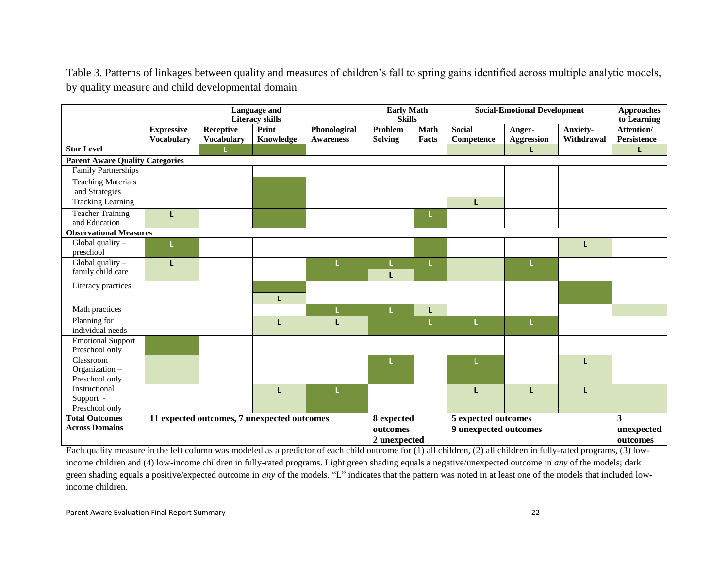Table 3. Patterns of linkages between quality and measures of children's fall to spring gains identified across multiple analytic models, by quality measure and child developmental domain

|                                                | Language and<br><b>Literacy skills</b>      |                                |                                                                                        | <b>Early Math</b><br><b>Skills</b> |                             | <b>Social-Emotional Development</b> |                             | <b>Approaches</b><br>to Learning |                        |                           |
|------------------------------------------------|---------------------------------------------|--------------------------------|----------------------------------------------------------------------------------------|------------------------------------|-----------------------------|-------------------------------------|-----------------------------|----------------------------------|------------------------|---------------------------|
|                                                | <b>Expressive</b><br><b>Vocabulary</b>      | Receptive<br><b>Vocabulary</b> | Print<br>Knowledge                                                                     | Phonological<br><b>Awareness</b>   | Problem<br><b>Solving</b>   | Math<br>Facts                       | <b>Social</b><br>Competence | Anger-<br><b>Aggression</b>      | Anxiety-<br>Withdrawal | Attention/<br>Persistence |
| <b>Star Level</b>                              |                                             |                                |                                                                                        |                                    |                             |                                     |                             |                                  |                        | L                         |
| <b>Parent Aware Quality Categories</b>         |                                             |                                |                                                                                        |                                    |                             |                                     |                             |                                  |                        |                           |
| Family Partnerships                            |                                             |                                |                                                                                        |                                    |                             |                                     |                             |                                  |                        |                           |
| <b>Teaching Materials</b><br>and Strategies    |                                             |                                |                                                                                        |                                    |                             |                                     |                             |                                  |                        |                           |
| <b>Tracking Learning</b>                       |                                             |                                |                                                                                        |                                    |                             |                                     | L                           |                                  |                        |                           |
| <b>Teacher Training</b><br>and Education       | L                                           |                                |                                                                                        |                                    |                             |                                     |                             |                                  |                        |                           |
| <b>Observational Measures</b>                  |                                             |                                |                                                                                        |                                    |                             |                                     |                             |                                  |                        |                           |
| Global quality $-$                             |                                             |                                |                                                                                        |                                    |                             |                                     |                             |                                  |                        |                           |
| preschool                                      |                                             |                                |                                                                                        |                                    |                             |                                     |                             |                                  |                        |                           |
| Global quality $-$                             | т                                           |                                |                                                                                        |                                    |                             |                                     |                             |                                  |                        |                           |
| family child care                              |                                             |                                |                                                                                        |                                    | L                           |                                     |                             |                                  |                        |                           |
| Literacy practices                             |                                             |                                |                                                                                        |                                    |                             |                                     |                             |                                  |                        |                           |
|                                                |                                             |                                | L                                                                                      |                                    |                             |                                     |                             |                                  |                        |                           |
| Math practices                                 |                                             |                                |                                                                                        |                                    |                             |                                     |                             |                                  |                        |                           |
| Planning for                                   |                                             |                                | L                                                                                      | L                                  |                             |                                     | L                           |                                  |                        |                           |
| individual needs                               |                                             |                                |                                                                                        |                                    |                             |                                     |                             |                                  |                        |                           |
| <b>Emotional Support</b>                       |                                             |                                |                                                                                        |                                    |                             |                                     |                             |                                  |                        |                           |
| Preschool only                                 |                                             |                                |                                                                                        |                                    |                             |                                     |                             |                                  |                        |                           |
| Classroom                                      |                                             |                                |                                                                                        |                                    |                             |                                     |                             |                                  |                        |                           |
| Organization-<br>Preschool only                |                                             |                                |                                                                                        |                                    |                             |                                     |                             |                                  |                        |                           |
| Instructional                                  |                                             |                                | L                                                                                      |                                    |                             |                                     | L                           |                                  |                        |                           |
| Support -                                      |                                             |                                |                                                                                        |                                    |                             |                                     |                             |                                  |                        |                           |
| Preschool only                                 |                                             |                                |                                                                                        |                                    |                             |                                     |                             |                                  |                        |                           |
| <b>Total Outcomes</b><br><b>Across Domains</b> | 11 expected outcomes, 7 unexpected outcomes |                                | 5 expected outcomes<br>8 expected<br>9 unexpected outcomes<br>outcomes<br>2 unexpected |                                    | 3<br>unexpected<br>outcomes |                                     |                             |                                  |                        |                           |

Each quality measure in the left column was modeled as a predictor of each child outcome for (1) all children, (2) all children in fully-rated programs, (3) lowincome children and (4) low-income children in fully-rated programs. Light green shading equals a negative/unexpected outcome in *any* of the models; dark green shading equals a positive/expected outcome in *any* of the models. "L" indicates that the pattern was noted in at least one of the models that included lowincome children.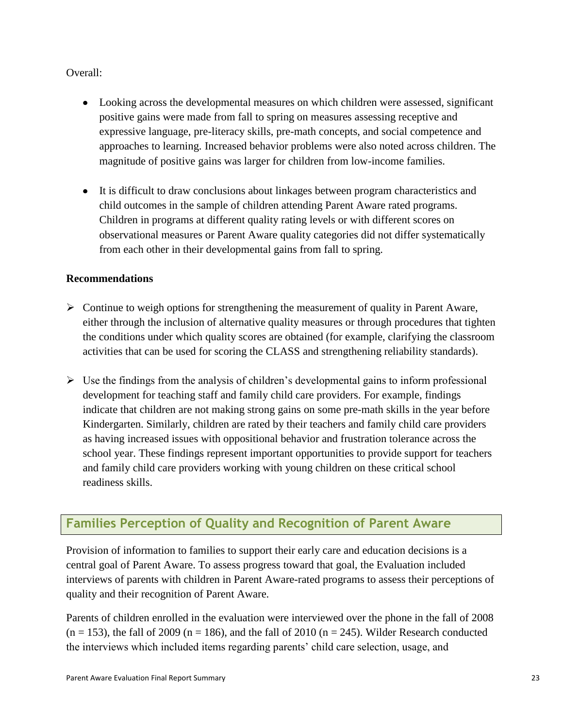Overall:

- Looking across the developmental measures on which children were assessed, significant positive gains were made from fall to spring on measures assessing receptive and expressive language, pre-literacy skills, pre-math concepts, and social competence and approaches to learning. Increased behavior problems were also noted across children. The magnitude of positive gains was larger for children from low-income families.
- It is difficult to draw conclusions about linkages between program characteristics and child outcomes in the sample of children attending Parent Aware rated programs. Children in programs at different quality rating levels or with different scores on observational measures or Parent Aware quality categories did not differ systematically from each other in their developmental gains from fall to spring.

### **Recommendations**

- $\triangleright$  Continue to weigh options for strengthening the measurement of quality in Parent Aware, either through the inclusion of alternative quality measures or through procedures that tighten the conditions under which quality scores are obtained (for example, clarifying the classroom activities that can be used for scoring the CLASS and strengthening reliability standards).
- $\triangleright$  Use the findings from the analysis of children's developmental gains to inform professional development for teaching staff and family child care providers. For example, findings indicate that children are not making strong gains on some pre-math skills in the year before Kindergarten. Similarly, children are rated by their teachers and family child care providers as having increased issues with oppositional behavior and frustration tolerance across the school year. These findings represent important opportunities to provide support for teachers and family child care providers working with young children on these critical school readiness skills.

# **Families Perception of Quality and Recognition of Parent Aware**

Provision of information to families to support their early care and education decisions is a central goal of Parent Aware. To assess progress toward that goal, the Evaluation included interviews of parents with children in Parent Aware-rated programs to assess their perceptions of quality and their recognition of Parent Aware.

Parents of children enrolled in the evaluation were interviewed over the phone in the fall of 2008  $(n = 153)$ , the fall of 2009 (n = 186), and the fall of 2010 (n = 245). Wilder Research conducted the interviews which included items regarding parents' child care selection, usage, and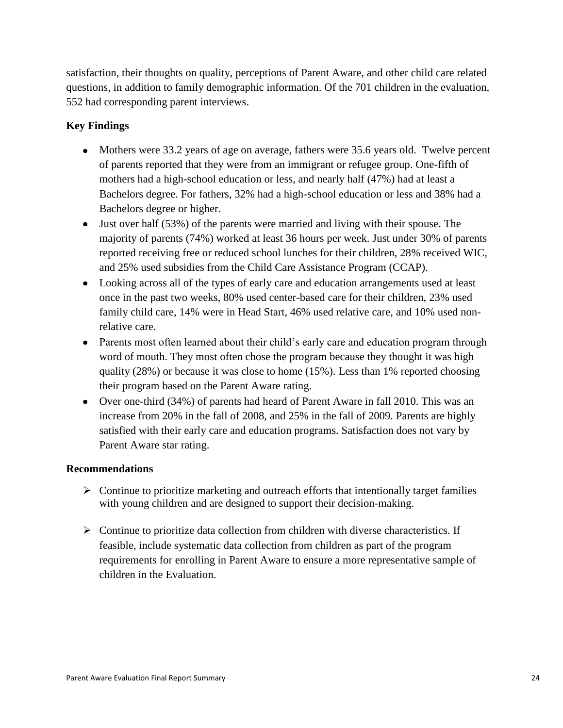satisfaction, their thoughts on quality, perceptions of Parent Aware, and other child care related questions, in addition to family demographic information. Of the 701 children in the evaluation, 552 had corresponding parent interviews.

# **Key Findings**

- Mothers were 33.2 years of age on average, fathers were 35.6 years old. Twelve percent of parents reported that they were from an immigrant or refugee group. One-fifth of mothers had a high-school education or less, and nearly half (47%) had at least a Bachelors degree. For fathers, 32% had a high-school education or less and 38% had a Bachelors degree or higher.
- Just over half (53%) of the parents were married and living with their spouse. The majority of parents (74%) worked at least 36 hours per week. Just under 30% of parents reported receiving free or reduced school lunches for their children, 28% received WIC, and 25% used subsidies from the Child Care Assistance Program (CCAP).
- Looking across all of the types of early care and education arrangements used at least once in the past two weeks, 80% used center-based care for their children, 23% used family child care, 14% were in Head Start, 46% used relative care, and 10% used nonrelative care.
- Parents most often learned about their child's early care and education program through word of mouth. They most often chose the program because they thought it was high quality (28%) or because it was close to home (15%). Less than 1% reported choosing their program based on the Parent Aware rating.
- Over one-third (34%) of parents had heard of Parent Aware in fall 2010. This was an increase from 20% in the fall of 2008, and 25% in the fall of 2009. Parents are highly satisfied with their early care and education programs. Satisfaction does not vary by Parent Aware star rating.

### **Recommendations**

- $\triangleright$  Continue to prioritize marketing and outreach efforts that intentionally target families with young children and are designed to support their decision-making.
- $\triangleright$  Continue to prioritize data collection from children with diverse characteristics. If feasible, include systematic data collection from children as part of the program requirements for enrolling in Parent Aware to ensure a more representative sample of children in the Evaluation.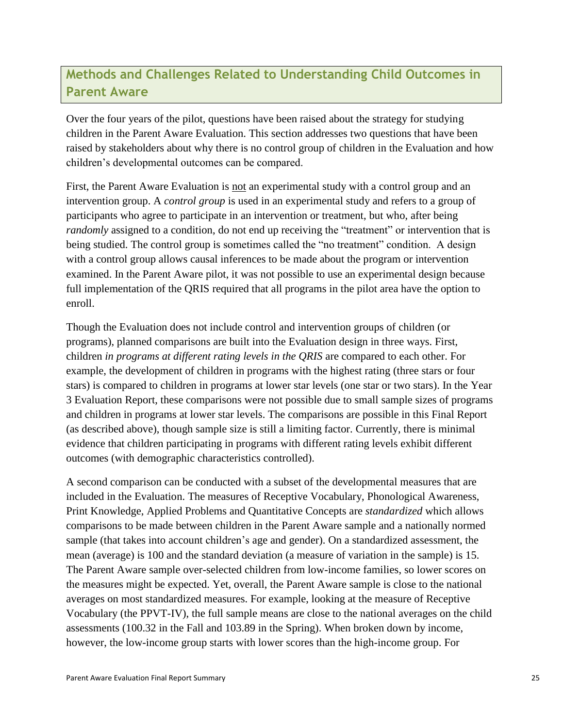# **Methods and Challenges Related to Understanding Child Outcomes in Parent Aware**

Over the four years of the pilot, questions have been raised about the strategy for studying children in the Parent Aware Evaluation. This section addresses two questions that have been raised by stakeholders about why there is no control group of children in the Evaluation and how children's developmental outcomes can be compared.

First, the Parent Aware Evaluation is not an experimental study with a control group and an intervention group. A *control group* is used in an experimental study and refers to a group of participants who agree to participate in an intervention or treatment, but who, after being *randomly* assigned to a condition, do not end up receiving the "treatment" or intervention that is being studied. The control group is sometimes called the "no treatment" condition. A design with a control group allows causal inferences to be made about the program or intervention examined. In the Parent Aware pilot, it was not possible to use an experimental design because full implementation of the QRIS required that all programs in the pilot area have the option to enroll.

Though the Evaluation does not include control and intervention groups of children (or programs), planned comparisons are built into the Evaluation design in three ways. First, children *in programs at different rating levels in the QRIS* are compared to each other. For example, the development of children in programs with the highest rating (three stars or four stars) is compared to children in programs at lower star levels (one star or two stars). In the Year 3 Evaluation Report, these comparisons were not possible due to small sample sizes of programs and children in programs at lower star levels. The comparisons are possible in this Final Report (as described above), though sample size is still a limiting factor. Currently, there is minimal evidence that children participating in programs with different rating levels exhibit different outcomes (with demographic characteristics controlled).

A second comparison can be conducted with a subset of the developmental measures that are included in the Evaluation. The measures of Receptive Vocabulary, Phonological Awareness, Print Knowledge, Applied Problems and Quantitative Concepts are *standardized* which allows comparisons to be made between children in the Parent Aware sample and a nationally normed sample (that takes into account children's age and gender). On a standardized assessment, the mean (average) is 100 and the standard deviation (a measure of variation in the sample) is 15. The Parent Aware sample over-selected children from low-income families, so lower scores on the measures might be expected. Yet, overall, the Parent Aware sample is close to the national averages on most standardized measures. For example, looking at the measure of Receptive Vocabulary (the PPVT-IV), the full sample means are close to the national averages on the child assessments (100.32 in the Fall and 103.89 in the Spring). When broken down by income, however, the low-income group starts with lower scores than the high-income group. For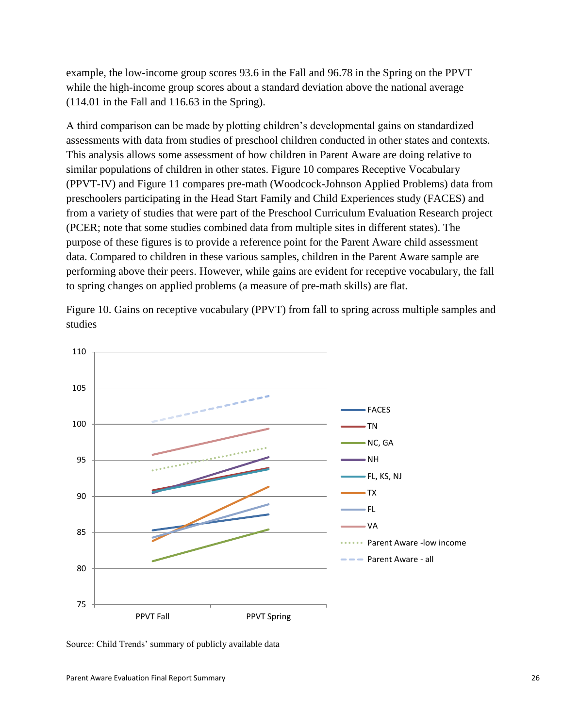example, the low-income group scores 93.6 in the Fall and 96.78 in the Spring on the PPVT while the high-income group scores about a standard deviation above the national average (114.01 in the Fall and 116.63 in the Spring).

A third comparison can be made by plotting children's developmental gains on standardized assessments with data from studies of preschool children conducted in other states and contexts. This analysis allows some assessment of how children in Parent Aware are doing relative to similar populations of children in other states. Figure 10 compares Receptive Vocabulary (PPVT-IV) and Figure 11 compares pre-math (Woodcock-Johnson Applied Problems) data from preschoolers participating in the Head Start Family and Child Experiences study (FACES) and from a variety of studies that were part of the Preschool Curriculum Evaluation Research project (PCER; note that some studies combined data from multiple sites in different states). The purpose of these figures is to provide a reference point for the Parent Aware child assessment data. Compared to children in these various samples, children in the Parent Aware sample are performing above their peers. However, while gains are evident for receptive vocabulary, the fall to spring changes on applied problems (a measure of pre-math skills) are flat.

Figure 10. Gains on receptive vocabulary (PPVT) from fall to spring across multiple samples and studies



Source: Child Trends' summary of publicly available data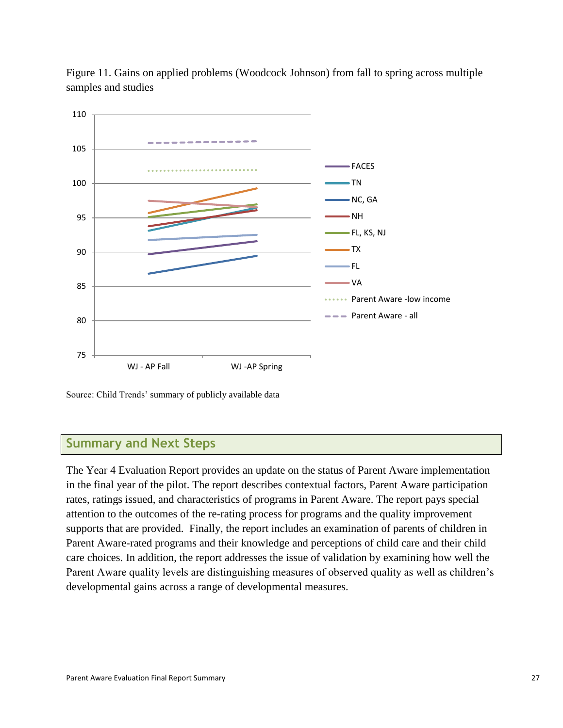

Figure 11. Gains on applied problems (Woodcock Johnson) from fall to spring across multiple samples and studies

Source: Child Trends' summary of publicly available data

# **Summary and Next Steps**

The Year 4 Evaluation Report provides an update on the status of Parent Aware implementation in the final year of the pilot. The report describes contextual factors, Parent Aware participation rates, ratings issued, and characteristics of programs in Parent Aware. The report pays special attention to the outcomes of the re-rating process for programs and the quality improvement supports that are provided. Finally, the report includes an examination of parents of children in Parent Aware-rated programs and their knowledge and perceptions of child care and their child care choices. In addition, the report addresses the issue of validation by examining how well the Parent Aware quality levels are distinguishing measures of observed quality as well as children's developmental gains across a range of developmental measures.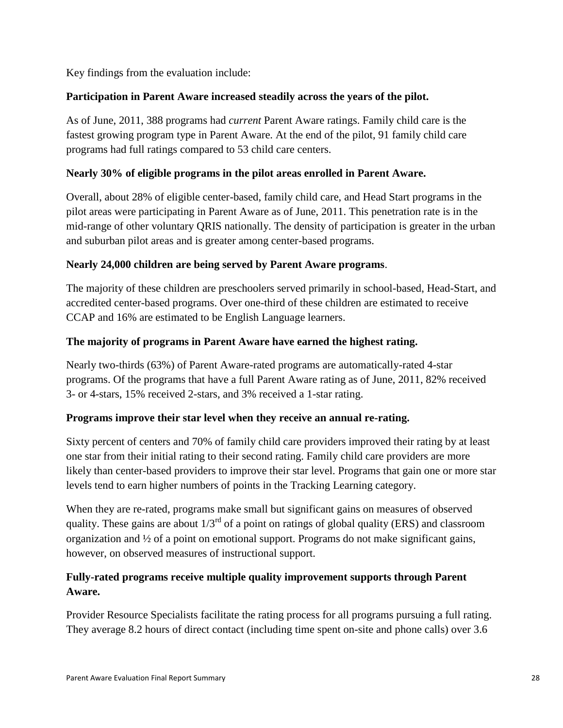Key findings from the evaluation include:

# **Participation in Parent Aware increased steadily across the years of the pilot.**

As of June, 2011, 388 programs had *current* Parent Aware ratings. Family child care is the fastest growing program type in Parent Aware. At the end of the pilot, 91 family child care programs had full ratings compared to 53 child care centers.

### **Nearly 30% of eligible programs in the pilot areas enrolled in Parent Aware.**

Overall, about 28% of eligible center-based, family child care, and Head Start programs in the pilot areas were participating in Parent Aware as of June, 2011. This penetration rate is in the mid-range of other voluntary QRIS nationally. The density of participation is greater in the urban and suburban pilot areas and is greater among center-based programs.

# **Nearly 24,000 children are being served by Parent Aware programs**.

The majority of these children are preschoolers served primarily in school-based, Head-Start, and accredited center-based programs. Over one-third of these children are estimated to receive CCAP and 16% are estimated to be English Language learners.

# **The majority of programs in Parent Aware have earned the highest rating.**

Nearly two-thirds (63%) of Parent Aware-rated programs are automatically-rated 4-star programs. Of the programs that have a full Parent Aware rating as of June, 2011, 82% received 3- or 4-stars, 15% received 2-stars, and 3% received a 1-star rating.

### **Programs improve their star level when they receive an annual re-rating.**

Sixty percent of centers and 70% of family child care providers improved their rating by at least one star from their initial rating to their second rating. Family child care providers are more likely than center-based providers to improve their star level. Programs that gain one or more star levels tend to earn higher numbers of points in the Tracking Learning category.

When they are re-rated, programs make small but significant gains on measures of observed quality. These gains are about  $1/3^{rd}$  of a point on ratings of global quality (ERS) and classroom organization and ½ of a point on emotional support. Programs do not make significant gains, however, on observed measures of instructional support.

# **Fully-rated programs receive multiple quality improvement supports through Parent Aware.**

Provider Resource Specialists facilitate the rating process for all programs pursuing a full rating. They average 8.2 hours of direct contact (including time spent on-site and phone calls) over 3.6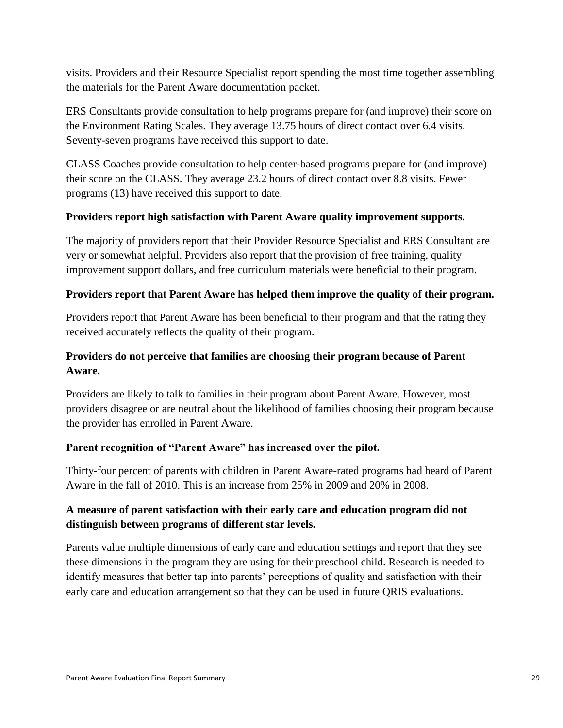visits. Providers and their Resource Specialist report spending the most time together assembling the materials for the Parent Aware documentation packet.

ERS Consultants provide consultation to help programs prepare for (and improve) their score on the Environment Rating Scales. They average 13.75 hours of direct contact over 6.4 visits. Seventy-seven programs have received this support to date.

CLASS Coaches provide consultation to help center-based programs prepare for (and improve) their score on the CLASS. They average 23.2 hours of direct contact over 8.8 visits. Fewer programs (13) have received this support to date.

### **Providers report high satisfaction with Parent Aware quality improvement supports.**

The majority of providers report that their Provider Resource Specialist and ERS Consultant are very or somewhat helpful. Providers also report that the provision of free training, quality improvement support dollars, and free curriculum materials were beneficial to their program.

### **Providers report that Parent Aware has helped them improve the quality of their program.**

Providers report that Parent Aware has been beneficial to their program and that the rating they received accurately reflects the quality of their program.

# **Providers do not perceive that families are choosing their program because of Parent Aware.**

Providers are likely to talk to families in their program about Parent Aware. However, most providers disagree or are neutral about the likelihood of families choosing their program because the provider has enrolled in Parent Aware.

### **Parent recognition of "Parent Aware" has increased over the pilot.**

Thirty-four percent of parents with children in Parent Aware-rated programs had heard of Parent Aware in the fall of 2010. This is an increase from 25% in 2009 and 20% in 2008.

# **A measure of parent satisfaction with their early care and education program did not distinguish between programs of different star levels.**

Parents value multiple dimensions of early care and education settings and report that they see these dimensions in the program they are using for their preschool child. Research is needed to identify measures that better tap into parents' perceptions of quality and satisfaction with their early care and education arrangement so that they can be used in future QRIS evaluations.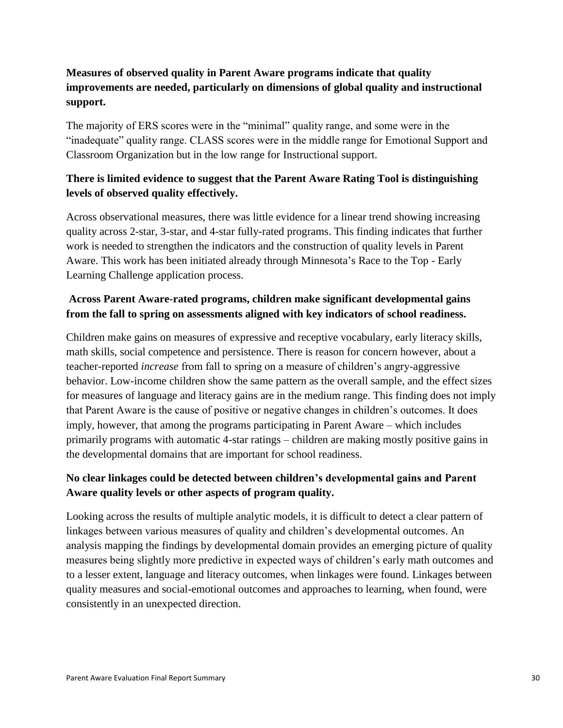# **Measures of observed quality in Parent Aware programs indicate that quality improvements are needed, particularly on dimensions of global quality and instructional support.**

The majority of ERS scores were in the "minimal" quality range, and some were in the "inadequate" quality range. CLASS scores were in the middle range for Emotional Support and Classroom Organization but in the low range for Instructional support.

# **There is limited evidence to suggest that the Parent Aware Rating Tool is distinguishing levels of observed quality effectively.**

Across observational measures, there was little evidence for a linear trend showing increasing quality across 2-star, 3-star, and 4-star fully-rated programs. This finding indicates that further work is needed to strengthen the indicators and the construction of quality levels in Parent Aware. This work has been initiated already through Minnesota's Race to the Top - Early Learning Challenge application process.

# **Across Parent Aware-rated programs, children make significant developmental gains from the fall to spring on assessments aligned with key indicators of school readiness.**

Children make gains on measures of expressive and receptive vocabulary, early literacy skills, math skills, social competence and persistence. There is reason for concern however, about a teacher-reported *increase* from fall to spring on a measure of children's angry-aggressive behavior. Low-income children show the same pattern as the overall sample, and the effect sizes for measures of language and literacy gains are in the medium range. This finding does not imply that Parent Aware is the cause of positive or negative changes in children's outcomes. It does imply, however, that among the programs participating in Parent Aware – which includes primarily programs with automatic 4-star ratings – children are making mostly positive gains in the developmental domains that are important for school readiness.

# **No clear linkages could be detected between children's developmental gains and Parent Aware quality levels or other aspects of program quality.**

Looking across the results of multiple analytic models, it is difficult to detect a clear pattern of linkages between various measures of quality and children's developmental outcomes. An analysis mapping the findings by developmental domain provides an emerging picture of quality measures being slightly more predictive in expected ways of children's early math outcomes and to a lesser extent, language and literacy outcomes, when linkages were found. Linkages between quality measures and social-emotional outcomes and approaches to learning, when found, were consistently in an unexpected direction.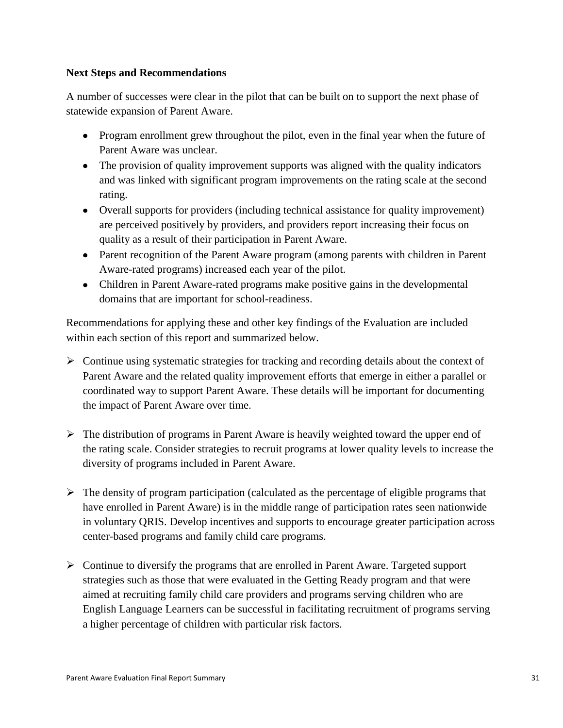### **Next Steps and Recommendations**

A number of successes were clear in the pilot that can be built on to support the next phase of statewide expansion of Parent Aware.

- Program enrollment grew throughout the pilot, even in the final year when the future of Parent Aware was unclear.
- The provision of quality improvement supports was aligned with the quality indicators and was linked with significant program improvements on the rating scale at the second rating.
- Overall supports for providers (including technical assistance for quality improvement) are perceived positively by providers, and providers report increasing their focus on quality as a result of their participation in Parent Aware.
- Parent recognition of the Parent Aware program (among parents with children in Parent Aware-rated programs) increased each year of the pilot.
- Children in Parent Aware-rated programs make positive gains in the developmental domains that are important for school-readiness.

Recommendations for applying these and other key findings of the Evaluation are included within each section of this report and summarized below.

- $\triangleright$  Continue using systematic strategies for tracking and recording details about the context of Parent Aware and the related quality improvement efforts that emerge in either a parallel or coordinated way to support Parent Aware. These details will be important for documenting the impact of Parent Aware over time.
- $\triangleright$  The distribution of programs in Parent Aware is heavily weighted toward the upper end of the rating scale. Consider strategies to recruit programs at lower quality levels to increase the diversity of programs included in Parent Aware.
- $\triangleright$  The density of program participation (calculated as the percentage of eligible programs that have enrolled in Parent Aware) is in the middle range of participation rates seen nationwide in voluntary QRIS. Develop incentives and supports to encourage greater participation across center-based programs and family child care programs.
- $\triangleright$  Continue to diversify the programs that are enrolled in Parent Aware. Targeted support strategies such as those that were evaluated in the Getting Ready program and that were aimed at recruiting family child care providers and programs serving children who are English Language Learners can be successful in facilitating recruitment of programs serving a higher percentage of children with particular risk factors.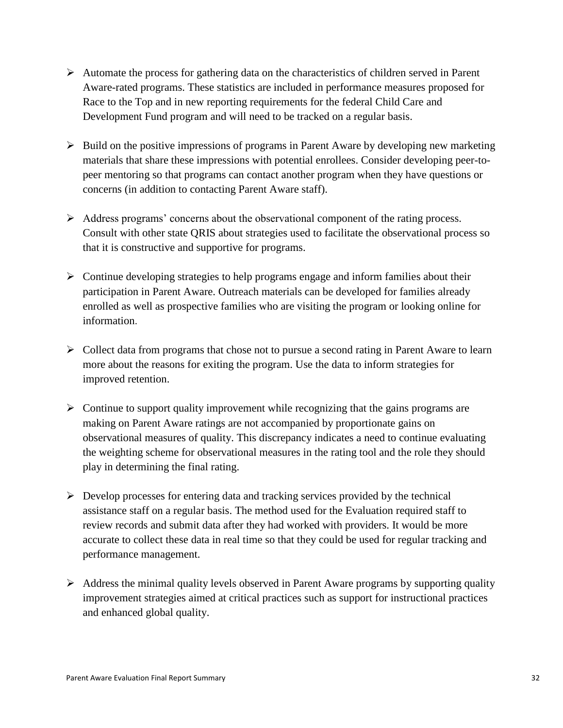- $\triangleright$  Automate the process for gathering data on the characteristics of children served in Parent Aware-rated programs. These statistics are included in performance measures proposed for Race to the Top and in new reporting requirements for the federal Child Care and Development Fund program and will need to be tracked on a regular basis.
- $\triangleright$  Build on the positive impressions of programs in Parent Aware by developing new marketing materials that share these impressions with potential enrollees. Consider developing peer-topeer mentoring so that programs can contact another program when they have questions or concerns (in addition to contacting Parent Aware staff).
- $\triangleright$  Address programs' concerns about the observational component of the rating process. Consult with other state QRIS about strategies used to facilitate the observational process so that it is constructive and supportive for programs.
- $\triangleright$  Continue developing strategies to help programs engage and inform families about their participation in Parent Aware. Outreach materials can be developed for families already enrolled as well as prospective families who are visiting the program or looking online for information.
- $\triangleright$  Collect data from programs that chose not to pursue a second rating in Parent Aware to learn more about the reasons for exiting the program. Use the data to inform strategies for improved retention.
- $\triangleright$  Continue to support quality improvement while recognizing that the gains programs are making on Parent Aware ratings are not accompanied by proportionate gains on observational measures of quality. This discrepancy indicates a need to continue evaluating the weighting scheme for observational measures in the rating tool and the role they should play in determining the final rating.
- $\triangleright$  Develop processes for entering data and tracking services provided by the technical assistance staff on a regular basis. The method used for the Evaluation required staff to review records and submit data after they had worked with providers. It would be more accurate to collect these data in real time so that they could be used for regular tracking and performance management.
- $\triangleright$  Address the minimal quality levels observed in Parent Aware programs by supporting quality improvement strategies aimed at critical practices such as support for instructional practices and enhanced global quality.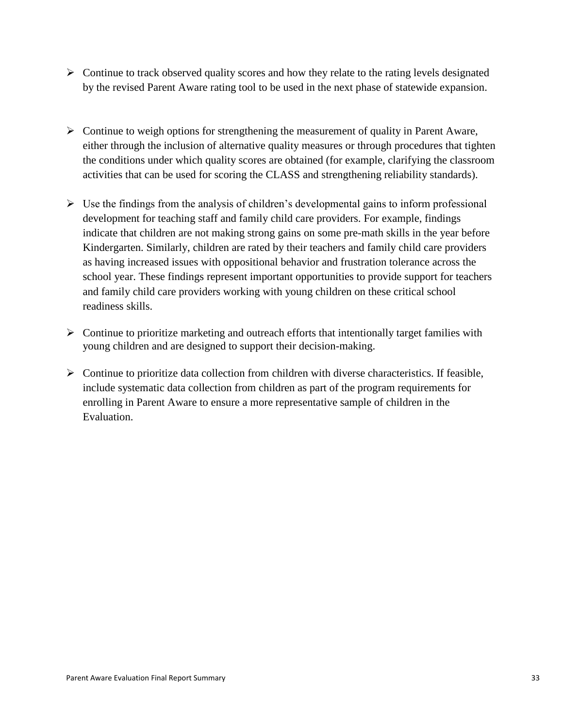- $\triangleright$  Continue to track observed quality scores and how they relate to the rating levels designated by the revised Parent Aware rating tool to be used in the next phase of statewide expansion.
- $\triangleright$  Continue to weigh options for strengthening the measurement of quality in Parent Aware, either through the inclusion of alternative quality measures or through procedures that tighten the conditions under which quality scores are obtained (for example, clarifying the classroom activities that can be used for scoring the CLASS and strengthening reliability standards).
- $\triangleright$  Use the findings from the analysis of children's developmental gains to inform professional development for teaching staff and family child care providers. For example, findings indicate that children are not making strong gains on some pre-math skills in the year before Kindergarten. Similarly, children are rated by their teachers and family child care providers as having increased issues with oppositional behavior and frustration tolerance across the school year. These findings represent important opportunities to provide support for teachers and family child care providers working with young children on these critical school readiness skills.
- $\triangleright$  Continue to prioritize marketing and outreach efforts that intentionally target families with young children and are designed to support their decision-making.
- $\triangleright$  Continue to prioritize data collection from children with diverse characteristics. If feasible, include systematic data collection from children as part of the program requirements for enrolling in Parent Aware to ensure a more representative sample of children in the Evaluation.